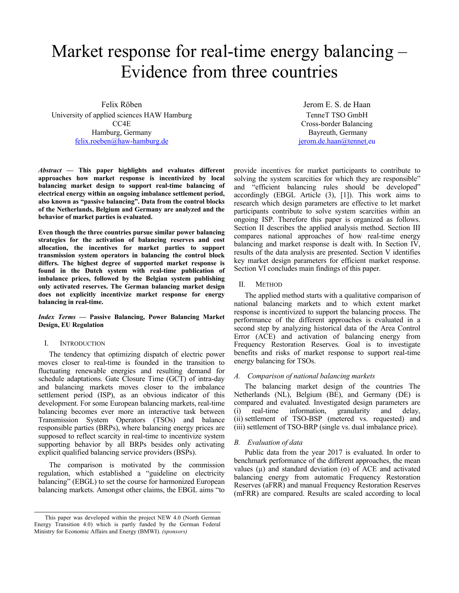# Market response for real-time energy balancing – Evidence from three countries

Felix Röben University of applied sciences HAW Hamburg CC4E Hamburg, Germany felix.roeben@haw-hamburg.de

*Abstract* **— This paper highlights and evaluates different approaches how market response is incentivized by local balancing market design to support real-time balancing of electrical energy within an ongoing imbalance settlement period, also known as "passive balancing". Data from the control blocks of the Netherlands, Belgium and Germany are analyzed and the behavior of market parties is evaluated.**

**Even though the three countries pursue similar power balancing strategies for the activation of balancing reserves and cost allocation, the incentives for market parties to support transmission system operators in balancing the control block differs. The highest degree of supported market response is found in the Dutch system with real-time publication of imbalance prices, followed by the Belgian system publishing only activated reserves. The German balancing market design does not explicitly incentivize market response for energy balancing in real-time.**

# *Index Terms* **— Passive Balancing, Power Balancing Market Design, EU Regulation**

## I. INTRODUCTION

The tendency that optimizing dispatch of electric power moves closer to real-time is founded in the transition to fluctuating renewable energies and resulting demand for schedule adaptations. Gate Closure Time (GCT) of intra-day and balancing markets moves closer to the imbalance settlement period (ISP), as an obvious indicator of this development. For some European balancing markets, real-time balancing becomes ever more an interactive task between Transmission System Operators (TSOs) and balance responsible parties (BRPs), where balancing energy prices are supposed to reflect scarcity in real-time to incentivize system supporting behavior by all BRPs besides only activating explicit qualified balancing service providers (BSPs).

The comparison is motivated by the commission regulation, which established a "guideline on electricity balancing" (EBGL) to set the course for harmonized European balancing markets. Amongst other claims, the EBGL aims "to

Jerom E. S. de Haan TenneT TSO GmbH Cross-border Balancing Bayreuth, Germany jerom.de.haan@tennet.eu

provide incentives for market participants to contribute to solving the system scarcities for which they are responsible" and "efficient balancing rules should be developed" accordingly (EBGL Article (3), [1]). This work aims to research which design parameters are effective to let market participants contribute to solve system scarcities within an ongoing ISP. Therefore this paper is organized as follows. Section II describes the applied analysis method. Section III compares national approaches of how real-time energy balancing and market response is dealt with. In Section IV, results of the data analysis are presented. Section V identifies key market design parameters for efficient market response. Section VI concludes main findings of this paper.

#### II. METHOD

The applied method starts with a qualitative comparison of national balancing markets and to which extent market response is incentivized to support the balancing process. The performance of the different approaches is evaluated in a second step by analyzing historical data of the Area Control Error (ACE) and activation of balancing energy from Frequency Restoration Reserves. Goal is to investigate benefits and risks of market response to support real-time energy balancing for TSOs.

#### *A. Comparison of national balancing markets*

The balancing market design of the countries The Netherlands (NL), Belgium (BE), and Germany (DE) is compared and evaluated. Investigated design parameters are (i) real-time information, granularity and delay, (ii) settlement of TSO-BSP (metered vs. requested) and (iii) settlement of TSO-BRP (single vs. dual imbalance price).

## *B. Evaluation of data*

Public data from the year 2017 is evaluated. In order to benchmark performance of the different approaches, the mean values (μ) and standard deviation (σ) of ACE and activated balancing energy from automatic Frequency Restoration Reserves (aFRR) and manual Frequency Restoration Reserves (mFRR) are compared. Results are scaled according to local

This paper was developed within the project NEW 4.0 (North German Energy Transition 4.0) which is partly funded by the German Federal Ministry for Economic Affairs and Energy (BMWI). *(sponsors)*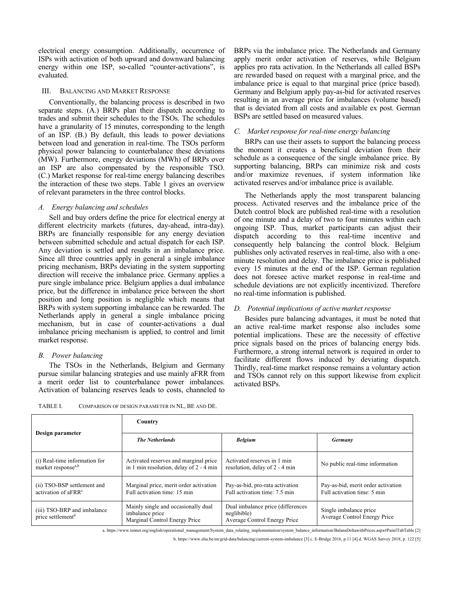electrical energy consumption. Additionally, occurrence of ISPs with activation of both upward and downward balancing energy within one ISP, so-called "counter-activations", is evaluated.

# III. BALANCING AND MARKET RESPONSE

Conventionally, the balancing process is described in two separate steps. (A.) BRPs plan their dispatch according to trades and submit their schedules to the TSOs. The schedules have a granularity of 15 minutes, corresponding to the length of an ISP. (B.) By default, this leads to power deviations between load and generation in real-time. The TSOs perform physical power balancing to counterbalance these deviations (MW). Furthermore, energy deviations (MWh) of BRPs over an ISP are also compensated by the responsible TSO. (C.) Market response for real-time energy balancing describes the interaction of these two steps. Table 1 gives an overview of relevant parameters in the three control blocks.

#### *A. Energy balancing and schedules*

Sell and buy orders define the price for electrical energy at different electricity markets (futures, day-ahead, intra-day). BRPs are financially responsible for any energy deviation between submitted schedule and actual dispatch for each ISP. Any deviation is settled and results in an imbalance price. Since all three countries apply in general a single imbalance pricing mechanism, BRPs deviating in the system supporting direction will receive the imbalance price. Germany applies a pure single imbalance price. Belgium applies a dual imbalance price, but the difference in imbalance price between the short position and long position is negligible which means that BRPs with system supporting imbalance can be rewarded. The Netherlands apply in general a single imbalance pricing mechanism, but in case of counter-activations a dual imbalance pricing mechanism is applied, to control and limit market response.

## *B. Power balancing*

The TSOs in the Netherlands, Belgium and Germany pursue similar balancing strategies and use mainly aFRR from a merit order list to counterbalance power imbalances. Activation of balancing reserves leads to costs, channeled to

TABLE I. COMPARISON OF DESIGN PARAMETER IN NL, BE AND DE.

BRPs via the imbalance price. The Netherlands and Germany apply merit order activation of reserves, while Belgium applies pro rata activation. In the Netherlands all called BSPs are rewarded based on request with a marginal price, and the imbalance price is equal to that marginal price (price based). Germany and Belgium apply pay-as-bid for activated reserves resulting in an average price for imbalances (volume based) that is deviated from all costs and available ex post. German BSPs are settled based on measured values.

# *C. Market response for real-time energy balancing*

BRPs can use their assets to support the balancing process the moment it creates a beneficial deviation from their schedule as a consequence of the single imbalance price. By supporting balancing, BRPs can minimize risk and costs and/or maximize revenues, if system information like activated reserves and/or imbalance price is available.

The Netherlands apply the most transparent balancing process. Activated reserves and the imbalance price of the Dutch control block are published real-time with a resolution of one minute and a delay of two to four minutes within each ongoing ISP. Thus, market participants can adjust their dispatch according to this real-time incentive and consequently help balancing the control block. Belgium publishes only activated reserves in real-time, also with a oneminute resolution and delay. The imbalance price is published every 15 minutes at the end of the ISP. German regulation does not foresee active market response in real-time and schedule deviations are not explicitly incentivized. Therefore no real-time information is published.

# *D. Potential implications of active market response*

Besides pure balancing advantages, it must be noted that an active real-time market response also includes some potential implications. These are the necessity of effective price signals based on the prices of balancing energy bids. Furthermore, a strong internal network is required in order to facilitate different flows induced by deviating dispatch. Thirdly, real-time market response remains a voluntary action and TSOs cannot rely on this support likewise from explicit activated BSPs.

| Design parameter                                                | Country                                                                                 |                                                                                  |                                                                   |  |  |
|-----------------------------------------------------------------|-----------------------------------------------------------------------------------------|----------------------------------------------------------------------------------|-------------------------------------------------------------------|--|--|
|                                                                 | <b>The Netherlands</b>                                                                  | <b>Belgium</b>                                                                   | <b>Germany</b>                                                    |  |  |
| (i) Real-time information for<br>market response <sup>a,b</sup> | Activated reserves and marginal price<br>in 1 min resolution, delay of 2 - 4 min        | Activated reserves in 1 min<br>resolution, delay of 2 - 4 min                    | No public real-time information                                   |  |  |
| (ii) TSO-BSP settlement and<br>activation of aFRR <sup>c</sup>  | Marginal price, merit order activation<br>Full activation time: 15 min                  | Pay-as-bid, pro-rata activation<br>Full activation time: 7.5 min                 | Pay-as-bid, merit order activation<br>Full activation time: 5 min |  |  |
| (iii) TSO-BRP and imbalance<br>price settlement <sup>d</sup>    | Mainly single and occasionally dual<br>imbalance price<br>Marginal Control Energy Price | Dual imbalance price (differences<br>neglibible)<br>Average Control Energy Price | Single imbalance price<br>Average Control Energy Price            |  |  |

a. https://www.tennet.org/english/operational\_management/System\_data\_relating\_implementation/system\_balance\_information/BalansDeltawithPrices.aspx#PanelTabTable [2]

b. https://www.elia.be/en/grid-data/balancing/current-system-imbalance [3] c. E-Bridge 2016, p.11 [4] d. WGAS Survey 2018, p. 122 [5]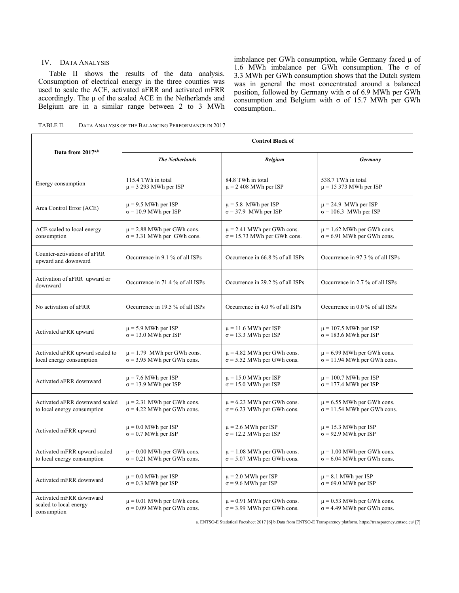## IV. DATA ANALYSIS

Table II shows the results of the data analysis. Consumption of electrical energy in the three counties was used to scale the ACE, activated aFRR and activated mFRR accordingly. The  $\mu$  of the scaled ACE in the Netherlands and Belgium are in a similar range between 2 to 3 MWh imbalance per GWh consumption, while Germany faced  $\mu$  of 1.6 MWh imbalance per GWh consumption. The σ of 3.3 MWh per GWh consumption shows that the Dutch system was in general the most concentrated around a balanced position, followed by Germany with σ of 6.9 MWh per GWh consumption and Belgium with σ of 15.7 MWh per GWh consumption..

| DATA ANALYSIS OF THE BALANCING PERFORMANCE IN 2017<br>TABLE II. |  |  |
|-----------------------------------------------------------------|--|--|
|-----------------------------------------------------------------|--|--|

|                                                                  | <b>Control Block of</b>                                             |                                                                     |                                                                     |  |  |
|------------------------------------------------------------------|---------------------------------------------------------------------|---------------------------------------------------------------------|---------------------------------------------------------------------|--|--|
| Data from 2017 <sup>a,b</sup>                                    | <b>The Netherlands</b>                                              | <b>Belgium</b>                                                      | Germany                                                             |  |  |
| Energy consumption                                               | 115.4 TWh in total                                                  | 84.8 TWh in total                                                   | 538.7 TWh in total                                                  |  |  |
|                                                                  | $\mu$ = 3 293 MWh per ISP                                           | $\mu$ = 2 408 MWh per ISP                                           | $\mu$ = 15 373 MWh per ISP                                          |  |  |
| Area Control Error (ACE)                                         | $\mu$ = 9.5 MWh per ISP                                             | $\mu$ = 5.8 MWh per ISP                                             | $\mu$ = 24.9 MWh per ISP                                            |  |  |
|                                                                  | $\sigma$ = 10.9 MWh per ISP                                         | $\sigma$ = 37.9 MWh per ISP                                         | $\sigma$ = 106.3 MWh per ISP                                        |  |  |
| ACE scaled to local energy                                       | $\mu$ = 2.88 MWh per GWh cons.                                      | $\mu$ = 2.41 MWh per GWh cons.                                      | $\mu$ = 1.62 MWh per GWh cons.                                      |  |  |
| consumption                                                      | $\sigma$ = 3.31 MWh per GWh cons.                                   | $\sigma$ = 15.73 MWh per GWh cons.                                  | $\sigma$ = 6.91 MWh per GWh cons.                                   |  |  |
| Counter-activations of aFRR<br>upward and downward               | Occurrence in 9.1 % of all ISPs                                     | Occurrence in 66.8 % of all ISPs                                    | Occurrence in 97.3 % of all ISPs                                    |  |  |
| Activation of aFRR upward or<br>downward                         | Occurrence in 71.4 % of all ISPs                                    | Occurrence in 29.2 % of all ISPs                                    | Occurrence in 2.7 % of all ISPs                                     |  |  |
| No activation of aFRR                                            | Occurrence in 19.5 % of all ISPs                                    | Occurrence in 4.0 % of all ISPs                                     | Occurrence in 0.0 % of all ISPs                                     |  |  |
| Activated aFRR upward                                            | $\mu$ = 5.9 MWh per ISP                                             | $\mu = 11.6$ MWh per ISP                                            | $\mu$ = 107.5 MWh per ISP                                           |  |  |
|                                                                  | $\sigma$ = 13.0 MWh per ISP                                         | $\sigma$ = 13.3 MWh per ISP                                         | $\sigma$ = 183.6 MWh per ISP                                        |  |  |
| Activated aFRR upward scaled to                                  | $\mu$ = 1.79 MWh per GWh cons.                                      | $\mu$ = 4.82 MWh per GWh cons.                                      | $\mu$ = 6.99 MWh per GWh cons.                                      |  |  |
| local energy consumption                                         | $\sigma$ = 3.95 MWh per GWh cons.                                   | $\sigma$ = 5.52 MWh per GWh cons.                                   | $\sigma$ = 11.94 MWh per GWh cons.                                  |  |  |
| Activated aFRR downward                                          | $\mu$ = 7.6 MWh per ISP                                             | $\mu = 15.0$ MWh per ISP                                            | $\mu$ = 100.7 MWh per ISP                                           |  |  |
|                                                                  | $\sigma$ = 13.9 MWh per ISP                                         | $\sigma$ = 15.0 MWh per ISP                                         | $\sigma$ = 177.4 MWh per ISP                                        |  |  |
| Activated aFRR downward scaled                                   | $\mu$ = 2.31 MWh per GWh cons.                                      | $\mu$ = 6.23 MWh per GWh cons.                                      | $\mu$ = 6.55 MWh per GWh cons.                                      |  |  |
| to local energy consumption                                      | $\sigma$ = 4.22 MWh per GWh cons.                                   | $\sigma$ = 6.23 MWh per GWh cons.                                   | $\sigma$ = 11.54 MWh per GWh cons.                                  |  |  |
| Activated mFRR upward                                            | $\mu$ = 0.0 MWh per ISP                                             | $\mu$ = 2.6 MWh per ISP                                             | $\mu$ = 15.3 MWh per ISP                                            |  |  |
|                                                                  | $\sigma$ = 0.7 MWh per ISP                                          | $\sigma$ = 12.2 MWh per ISP                                         | $\sigma$ = 92.9 MWh per ISP                                         |  |  |
| Activated mFRR upward scaled                                     | $\mu$ = 0.00 MWh per GWh cons.                                      | $\mu$ = 1.08 MWh per GWh cons.                                      | $\mu$ = 1.00 MWh per GWh cons.                                      |  |  |
| to local energy consumption                                      | $\sigma$ = 0.21 MWh per GWh cons.                                   | $\sigma$ = 5.07 MWh per GWh cons.                                   | $\sigma$ = 6.04 MWh per GWh cons.                                   |  |  |
| Activated mFRR downward                                          | $\mu$ = 0.0 MWh per ISP                                             | $\mu$ = 2.0 MWh per ISP                                             | $\mu$ = 8.1 MWh per ISP                                             |  |  |
|                                                                  | $\sigma$ = 0.3 MWh per ISP                                          | $\sigma$ = 9.6 MWh per ISP                                          | $\sigma$ = 69.0 MWh per ISP                                         |  |  |
| Activated mFRR downward<br>scaled to local energy<br>consumption | $\mu$ = 0.01 MWh per GWh cons.<br>$\sigma$ = 0.09 MWh per GWh cons. | $\mu$ = 0.91 MWh per GWh cons.<br>$\sigma$ = 3.99 MWh per GWh cons. | $\mu$ = 0.53 MWh per GWh cons.<br>$\sigma$ = 4.49 MWh per GWh cons. |  |  |

a. ENTSO-E Statistical Factsheet 2017 [6] b.Data from ENTSO-E Transparency platform, https://transparency.entsoe.eu/ [7]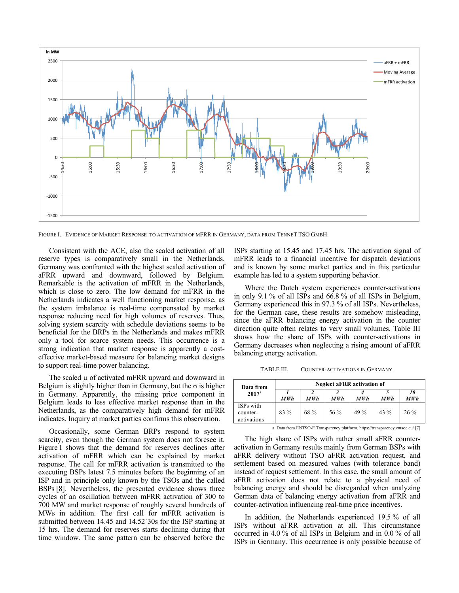

FIGURE I. EVIDENCE OF MARKET RESPONSE TO ACTIVATION OF MFRR IN GERMANY, DATA FROM TENNET TSO GMBH.

Consistent with the ACE, also the scaled activation of all reserve types is comparatively small in the Netherlands. Germany was confronted with the highest scaled activation of aFRR upward and downward, followed by Belgium. Remarkable is the activation of mFRR in the Netherlands, which is close to zero. The low demand for mFRR in the Netherlands indicates a well functioning market response, as the system imbalance is real-time compensated by market response reducing need for high volumes of reserves. Thus, solving system scarcity with schedule deviations seems to be beneficial for the BRPs in the Netherlands and makes mFRR only a tool for scarce system needs. This occurrence is a strong indication that market response is apparently a costeffective market-based measure for balancing market designs to support real-time power balancing.

The scaled  $\mu$  of activated mFRR upward and downward in Belgium is slightly higher than in Germany, but the  $\sigma$  is higher in Germany. Apparently, the missing price component in Belgium leads to less effective market response than in the Netherlands, as the comparatively high demand for mFRR indicates. Inquiry at market parties confirms this observation.

Occasionally, some German BRPs respond to system scarcity, even though the German system does not foresee it. Figure I shows that the demand for reserves declines after activation of mFRR which can be explained by market response. The call for mFRR activation is transmitted to the executing BSPs latest 7.5 minutes before the beginning of an ISP and in principle only known by the TSOs and the called BSPs [8]. Nevertheless, the presented evidence shows three cycles of an oscillation between mFRR activation of 300 to 700 MW and market response of roughly several hundreds of MWs in addition. The first call for mFRR activation is submitted between 14.45 and 14.52´30s for the ISP starting at 15 hrs. The demand for reserves starts declining during that time window. The same pattern can be observed before the

ISPs starting at 15.45 and 17.45 hrs. The activation signal of mFRR leads to a financial incentive for dispatch deviations and is known by some market parties and in this particular example has led to a system supporting behavior.

Where the Dutch system experiences counter-activations in only 9.1 % of all ISPs and 66.8 % of all ISPs in Belgium, Germany experienced this in 97.3 % of all ISPs. Nevertheless, for the German case, these results are somehow misleading, since the aFRR balancing energy activation in the counter direction quite often relates to very small volumes. Table III shows how the share of ISPs with counter-activations in Germany decreases when neglecting a rising amount of aFRR balancing energy activation.

TABLE III. COUNTER-ACTIVATIONS IN GERMANY.

| Data from<br>2017 <sup>a</sup>       | <b>Neglect aFRR activation of</b> |      |      |      |        |           |
|--------------------------------------|-----------------------------------|------|------|------|--------|-----------|
|                                      | MW h                              | MW h | MWh  | MWh  | MW h   | 10<br>MWh |
| ISPs with<br>counter-<br>activations | $83\%$                            | 68 % | 56 % | 49 % | $43\%$ | $26\%$    |

a. Data from ENTSO-E Transparency platform, https://transparency.entsoe.eu/ [7]

The high share of ISPs with rather small aFRR counteractivation in Germany results mainly from German BSPs with aFRR delivery without TSO aFRR activation request, and settlement based on measured values (with tolerance band) instead of request settlement. In this case, the small amount of aFRR activation does not relate to a physical need of balancing energy and should be disregarded when analyzing German data of balancing energy activation from aFRR and counter-activation influencing real-time price incentives.

In addition, the Netherlands experienced 19.5 % of all ISPs without aFRR activation at all. This circumstance occurred in 4.0 % of all ISPs in Belgium and in 0.0 % of all ISPs in Germany. This occurrence is only possible because of